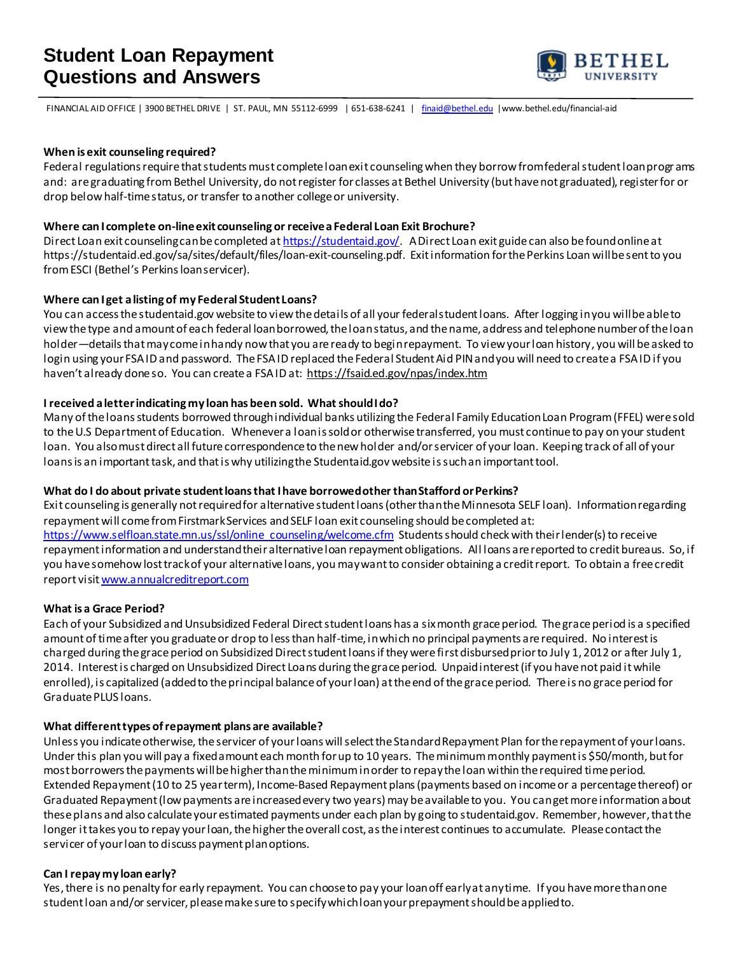

FINANCIAL AID OFFICE | 3900 BETHEL DRIVE | ST. PAUL, MN 55112-6999 | 651-638-6241 | [finaid@bethel.edu](mailto:finaid@bethel.edu) |www.bethel.edu/financial-aid

#### **When is exit counseling required?**

Federal regulations require that students must complete loan exit counseling when they borrow from federal student loan progr ams and: are graduating from Bethel University, do not register for classes at Bethel University (but have not graduated), register for or drop below half-time status, or transfer to another college or university.

#### **Where can I complete on-line exit counseling or receive a Federal Loan Exit Brochure?**

Direct Loan exit counseling can be completed at <https://studentaid.gov/>. A Direct Loan exit guide can also be found online at https://studentaid.ed.gov/sa/sites/default/files/loan-exit-counseling.pdf. Exit information for the Perkins Loan will be sent to you from ESCI (Bethel's Perkins loan servicer).

#### **Where can I get a listing of my Federal Student Loans?**

You can access the studentaid.gov website to view the details of all your federal student loans. After logging in you will be able to viewthe type and amount of each federal loan borrowed, the loan status, and the name, address and telephone number of the loan holder—details that may come in handy now that you are ready to begin repayment. To view your loan history, you will be asked to login using your FSA ID and password. The FSA ID replaced the Federal Student Aid PIN and you will need to create a FSA ID if you haven't already done so. You can create a FSA ID at: https://fsaid.ed.gov/npas/index.htm

#### **I received a letter indicating my loan has been sold. What should I do?**

Many of the loans students borrowed through individual banks utilizing the Federal Family Education Loan Program (FFEL) were sold to theU.S Department of Education. Whenever a loan is sold or otherwise transferred, you must continue to pay on your student loan. You also must direct all future correspondence to the new holder and/or servicer of your loan. Keeping track of all of your loans is an important task, and that is why utilizing the Studentaid.gov website issuch an important tool.

# **What do I do about private student loans that I have borrowed other than Stafford or Perkins?**

Exit counseling is generally not required for alternative student loans (other than the Minnesota SELF loan). Information regarding repayment will come from Firstmark Services and SELF loan exit counseling should be completed at: [https://www.selfloan.state.mn.us/ssl/online\\_counseling/welcome.cfm](https://www.selfloan.state.mn.us/ssl/online_counseling/welcome.cfm) Students should check with their lender(s) to receive repayment information and understand their alternative loan repayment obligations. All loans are reported to credit bureaus. So, if you have somehow lost track of your alternative loans, you may want to consider obtaining a credit report. To obtain a free credit report visi[t www.annualcreditreport.com](http://www.annualcreditreport.com/)

### **What is a Grace Period?**

Each of your Subsidized and Unsubsidized Federal Direct studentloans has a six month grace period. The grace period is a specified amount of time after you graduate or drop to less than half-time, in which no principal payments are required. No interest is charged during the grace period on Subsidized Direct student loans if they were first disbursed prior to July 1, 2012 or after July 1, 2014. Interest is charged on Unsubsidized Direct Loans during the grace period. Unpaid interest (if you have not paid it while enrolled), is capitalized (added to the principal balance of your loan) at the end of the grace period. There is no grace period for Graduate PLUS loans.

### **What different types of repayment plans are available?**

Unless you indicate otherwise, the servicer of your loans will select the Standard Repayment Plan for the repayment of your loans. Under this plan you will pay a fixed amount each month for up to 10 years. The minimum monthly payment is \$50/month, but for most borrowers the payments will be higher than the minimum in order to repay the loan within the required time period. Extended Repayment (10 to 25 year term), Income-Based Repayment plans (payments based on income or a percentage thereof) or Graduated Repayment (low payments are increased every two years) may be available to you. You can get more information about these plans and also calculate your estimated payments under each plan by going to studentaid.gov. Remember, however, that the longer it takes you to repay your loan, the higher the overall cost, as the interest continues to accumulate. Please contact the servicer of your loan to discuss payment plan options.

### **Can I repay my loan early?**

Yes, there is no penalty for early repayment. You can choose to pay your loan off early at any time. If you have more than one student loan and/or servicer, please make sure to specify which loan your prepayment should be applied to.